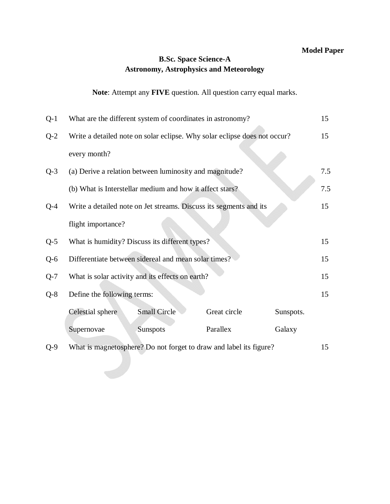### **B.Sc. Space Science-A Astronomy, Astrophysics and Meteorology**

## **Note**: Attempt any **FIVE** question. All question carry equal marks.

| $Q-1$ | What are the different system of coordinates in astronomy? |                                                                           | 15           |           |     |
|-------|------------------------------------------------------------|---------------------------------------------------------------------------|--------------|-----------|-----|
| $Q-2$ |                                                            | Write a detailed note on solar eclipse. Why solar eclipse does not occur? |              |           | 15  |
|       | every month?                                               |                                                                           |              |           |     |
| $Q-3$ |                                                            | (a) Derive a relation between luminosity and magnitude?                   |              |           | 7.5 |
|       |                                                            | (b) What is Interstellar medium and how it affect stars?                  |              |           | 7.5 |
| $Q-4$ |                                                            | Write a detailed note on Jet streams. Discuss its segments and its        |              |           | 15  |
|       | flight importance?                                         |                                                                           |              |           |     |
| $Q-5$ | What is humidity? Discuss its different types?             |                                                                           |              | 15        |     |
| $Q-6$ | Differentiate between sidereal and mean solar times?       |                                                                           | 15           |           |     |
| $Q-7$ | What is solar activity and its effects on earth?           |                                                                           | 15           |           |     |
| $Q-8$ | Define the following terms:                                |                                                                           |              |           | 15  |
|       | Celestial sphere                                           | <b>Small Circle</b>                                                       | Great circle | Sunspots. |     |
|       | Supernovae                                                 | Sunspots                                                                  | Parallex     | Galaxy    |     |
| $Q-9$ |                                                            | What is magnetosphere? Do not forget to draw and label its figure?        |              |           | 15  |
|       |                                                            |                                                                           |              |           |     |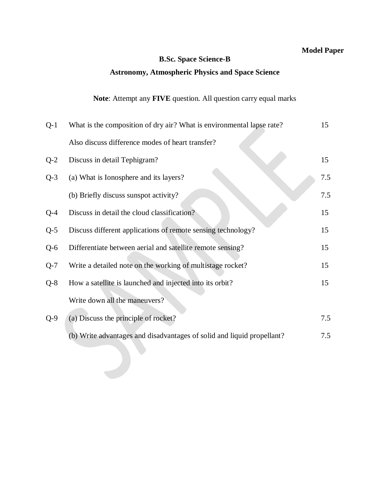#### **B.Sc. Space Science-B**

### **Astronomy, Atmospheric Physics and Space Science**

### **Note**: Attempt any **FIVE** question. All question carry equal marks

| $Q-1$ | What is the composition of dry air? What is environmental lapse rate?  |     |
|-------|------------------------------------------------------------------------|-----|
|       | Also discuss difference modes of heart transfer?                       |     |
| $Q-2$ | Discuss in detail Tephigram?                                           | 15  |
| $Q-3$ | (a) What is Ionosphere and its layers?                                 | 7.5 |
|       | (b) Briefly discuss sunspot activity?                                  | 7.5 |
| Q-4   | Discuss in detail the cloud classification?                            | 15  |
| $Q-5$ | Discuss different applications of remote sensing technology?           | 15  |
| $Q-6$ | Differentiate between aerial and satellite remote sensing?             | 15  |
| $Q-7$ | Write a detailed note on the working of multistage rocket?             | 15  |
| $Q-8$ | How a satellite is launched and injected into its orbit?               | 15  |
|       | Write down all the maneuvers?                                          |     |
| $Q-9$ | (a) Discuss the principle of rocket?                                   | 7.5 |
|       | (b) Write advantages and disadvantages of solid and liquid propellant? | 7.5 |
|       |                                                                        |     |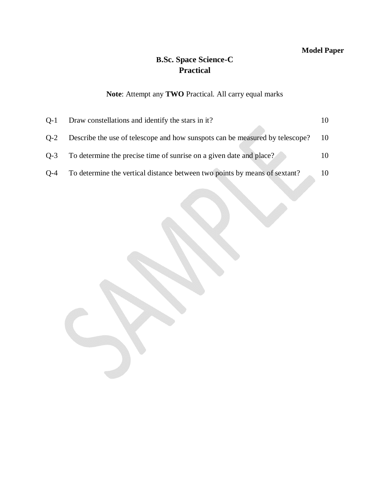## **B.Sc. Space Science-C Practical**

## **Note**: Attempt any **TWO** Practical. All carry equal marks

| $O-1$ | Draw constellations and identify the stars in it?                            |      |
|-------|------------------------------------------------------------------------------|------|
| $O-2$ | Describe the use of telescope and how sunspots can be measured by telescope? | - 10 |
| $O-3$ | To determine the precise time of sunrise on a given date and place?          | 10   |
| $O-4$ | To determine the vertical distance between two points by means of sextant?   | 10   |